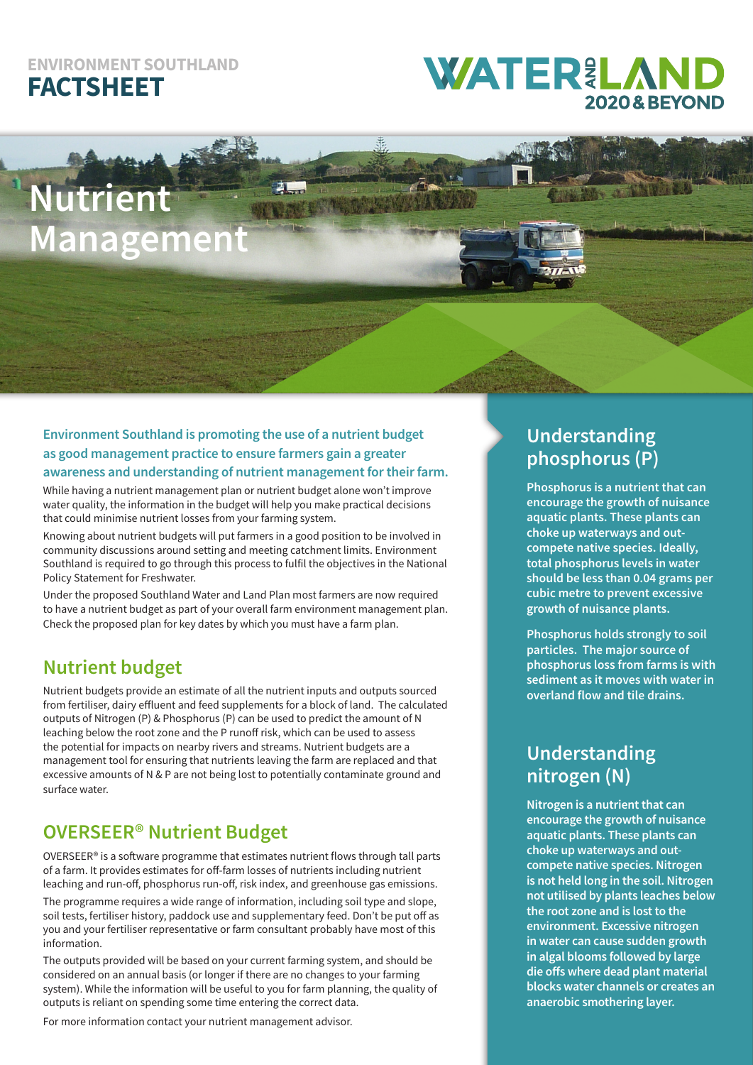#### **ENVIRONMENT SOUTHLAND FACTSHEET**

## **WATER&LAN 2020&BEYONI**

# **Nutrient Management**

#### **Environment Southland is promoting the use of a nutrient budget as good management practice to ensure farmers gain a greater awareness and understanding of nutrient management for their farm.**

While having a nutrient management plan or nutrient budget alone won't improve water quality, the information in the budget will help you make practical decisions that could minimise nutrient losses from your farming system.

Knowing about nutrient budgets will put farmers in a good position to be involved in community discussions around setting and meeting catchment limits. Environment Southland is required to go through this process to fulfil the objectives in the National Policy Statement for Freshwater.

Under the proposed Southland Water and Land Plan most farmers are now required to have a nutrient budget as part of your overall farm environment management plan. Check the proposed plan for key dates by which you must have a farm plan.

#### **Nutrient budget**

Nutrient budgets provide an estimate of all the nutrient inputs and outputs sourced from fertiliser, dairy effluent and feed supplements for a block of land. The calculated outputs of Nitrogen (P) & Phosphorus (P) can be used to predict the amount of N leaching below the root zone and the P runoff risk, which can be used to assess the potential for impacts on nearby rivers and streams. Nutrient budgets are a management tool for ensuring that nutrients leaving the farm are replaced and that excessive amounts of N & P are not being lost to potentially contaminate ground and surface water.

#### **OVERSEER® Nutrient Budget**

OVERSEER® is a software programme that estimates nutrient flows through tall parts of a farm. It provides estimates for off-farm losses of nutrients including nutrient leaching and run-off, phosphorus run-off, risk index, and greenhouse gas emissions.

The programme requires a wide range of information, including soil type and slope, soil tests, fertiliser history, paddock use and supplementary feed. Don't be put off as you and your fertiliser representative or farm consultant probably have most of this information.

The outputs provided will be based on your current farming system, and should be considered on an annual basis (or longer if there are no changes to your farming system). While the information will be useful to you for farm planning, the quality of outputs is reliant on spending some time entering the correct data.

For more information contact your nutrient management advisor.

#### **Understanding phosphorus (P)**

**Phosphorus is a nutrient that can encourage the growth of nuisance aquatic plants. These plants can choke up waterways and outcompete native species. Ideally, total phosphorus levels in water should be less than 0.04 grams per cubic metre to prevent excessive growth of nuisance plants.**

**Phosphorus holds strongly to soil particles. The major source of phosphorus loss from farms is with sediment as it moves with water in overland flow and tile drains.** 

#### **Understanding nitrogen (N)**

**Nitrogen is a nutrient that can encourage the growth of nuisance aquatic plants. These plants can choke up waterways and outcompete native species. Nitrogen is not held long in the soil. Nitrogen not utilised by plants leaches below the root zone and is lost to the environment. Excessive nitrogen in water can cause sudden growth in algal blooms followed by large die offs where dead plant material blocks water channels or creates an anaerobic smothering layer.**